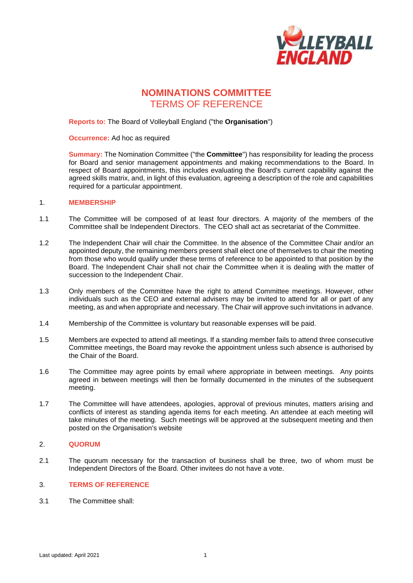

# **NOMINATIONS COMMITTEE** TERMS OF REFERENCE

## **Reports to:** The Board of Volleyball England ("the **Organisation**")

**Occurrence:** Ad hoc as required

**Summary:** The Nomination Committee ("the **Committee**") has responsibility for leading the process for Board and senior management appointments and making recommendations to the Board. In respect of Board appointments, this includes evaluating the Board's current capability against the agreed skills matrix, and, in light of this evaluation, agreeing a description of the role and capabilities required for a particular appointment.

#### 1. **MEMBERSHIP**

- 1.1 The Committee will be composed of at least four directors. A majority of the members of the Committee shall be Independent Directors. The CEO shall act as secretariat of the Committee.
- 1.2 The Independent Chair will chair the Committee. In the absence of the Committee Chair and/or an appointed deputy, the remaining members present shall elect one of themselves to chair the meeting from those who would qualify under these terms of reference to be appointed to that position by the Board. The Independent Chair shall not chair the Committee when it is dealing with the matter of succession to the Independent Chair.
- 1.3 Only members of the Committee have the right to attend Committee meetings. However, other individuals such as the CEO and external advisers may be invited to attend for all or part of any meeting, as and when appropriate and necessary. The Chair will approve such invitations in advance.
- 1.4 Membership of the Committee is voluntary but reasonable expenses will be paid.
- 1.5 Members are expected to attend all meetings. If a standing member fails to attend three consecutive Committee meetings, the Board may revoke the appointment unless such absence is authorised by the Chair of the Board.
- 1.6 The Committee may agree points by email where appropriate in between meetings. Any points agreed in between meetings will then be formally documented in the minutes of the subsequent meeting.
- 1.7 The Committee will have attendees, apologies, approval of previous minutes, matters arising and conflicts of interest as standing agenda items for each meeting. An attendee at each meeting will take minutes of the meeting. Such meetings will be approved at the subsequent meeting and then posted on the Organisation's website

### 2. **QUORUM**

2.1 The quorum necessary for the transaction of business shall be three, two of whom must be Independent Directors of the Board. Other invitees do not have a vote.

#### 3. **TERMS OF REFERENCE**

3.1 The Committee shall: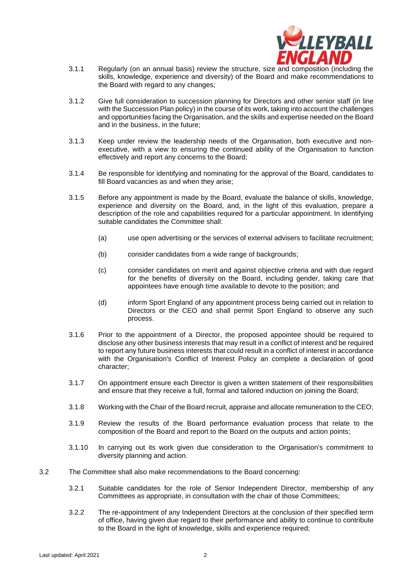

- 3.1.1 Regularly (on an annual basis) review the structure, size and composition (including the skills, knowledge, experience and diversity) of the Board and make recommendations to the Board with regard to any changes;
- 3.1.2 Give full consideration to succession planning for Directors and other senior staff (in line with the Succession Plan policy) in the course of its work, taking into account the challenges and opportunities facing the Organisation, and the skills and expertise needed on the Board and in the business, in the future;
- 3.1.3 Keep under review the leadership needs of the Organisation, both executive and nonexecutive, with a view to ensuring the continued ability of the Organisation to function effectively and report any concerns to the Board;
- 3.1.4 Be responsible for identifying and nominating for the approval of the Board, candidates to fill Board vacancies as and when they arise;
- 3.1.5 Before any appointment is made by the Board, evaluate the balance of skills, knowledge, experience and diversity on the Board, and, in the light of this evaluation, prepare a description of the role and capabilities required for a particular appointment. In identifying suitable candidates the Committee shall:
	- (a) use open advertising or the services of external advisers to facilitate recruitment;
	- (b) consider candidates from a wide range of backgrounds;
	- (c) consider candidates on merit and against objective criteria and with due regard for the benefits of diversity on the Board, including gender, taking care that appointees have enough time available to devote to the position; and
	- (d) inform Sport England of any appointment process being carried out in relation to Directors or the CEO and shall permit Sport England to observe any such process.
- 3.1.6 Prior to the appointment of a Director, the proposed appointee should be required to disclose any other business interests that may result in a conflict of interest and be required to report any future business interests that could result in a conflict of interest in accordance with the Organisation's Conflict of Interest Policy an complete a declaration of good character;
- 3.1.7 On appointment ensure each Director is given a written statement of their responsibilities and ensure that they receive a full, formal and tailored induction on joining the Board;
- 3.1.8 Working with the Chair of the Board recruit, appraise and allocate remuneration to the CEO;
- 3.1.9 Review the results of the Board performance evaluation process that relate to the composition of the Board and report to the Board on the outputs and action points;
- 3.1.10 In carrying out its work given due consideration to the Organisation's commitment to diversity planning and action.
- 3.2 The Committee shall also make recommendations to the Board concerning:
	- 3.2.1 Suitable candidates for the role of Senior Independent Director, membership of any Committees as appropriate, in consultation with the chair of those Committees;
	- 3.2.2 The re-appointment of any Independent Directors at the conclusion of their specified term of office, having given due regard to their performance and ability to continue to contribute to the Board in the light of knowledge, skills and experience required;